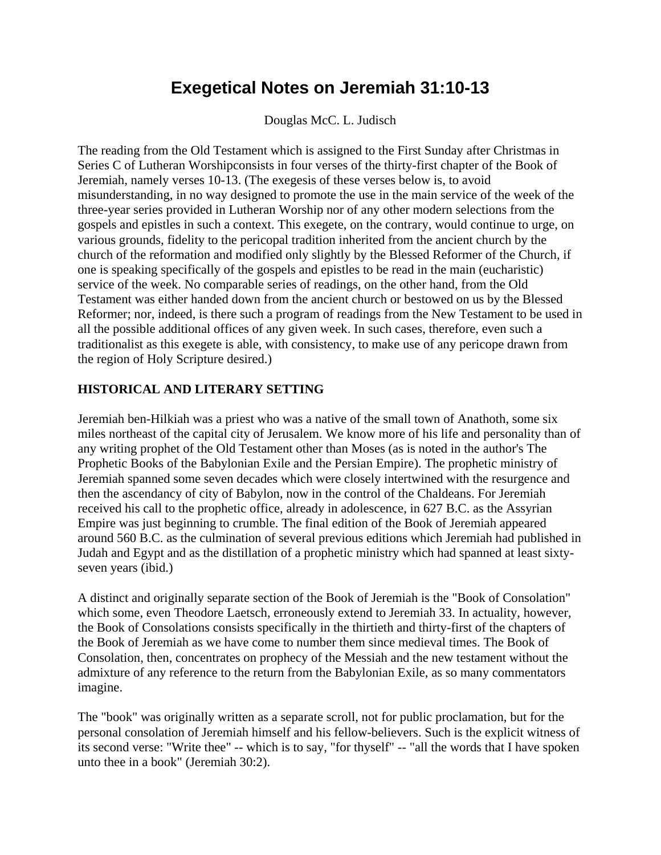## **Exegetical Notes on Jeremiah 31:10-13**

Douglas McC. L. Judisch

The reading from the Old Testament which is assigned to the First Sunday after Christmas in Series C of Lutheran Worshipconsists in four verses of the thirty-first chapter of the Book of Jeremiah, namely verses 10-13. (The exegesis of these verses below is, to avoid misunderstanding, in no way designed to promote the use in the main service of the week of the three-year series provided in Lutheran Worship nor of any other modern selections from the gospels and epistles in such a context. This exegete, on the contrary, would continue to urge, on various grounds, fidelity to the pericopal tradition inherited from the ancient church by the church of the reformation and modified only slightly by the Blessed Reformer of the Church, if one is speaking specifically of the gospels and epistles to be read in the main (eucharistic) service of the week. No comparable series of readings, on the other hand, from the Old Testament was either handed down from the ancient church or bestowed on us by the Blessed Reformer; nor, indeed, is there such a program of readings from the New Testament to be used in all the possible additional offices of any given week. In such cases, therefore, even such a traditionalist as this exegete is able, with consistency, to make use of any pericope drawn from the region of Holy Scripture desired.)

## **HISTORICAL AND LITERARY SETTING**

Jeremiah ben-Hilkiah was a priest who was a native of the small town of Anathoth, some six miles northeast of the capital city of Jerusalem. We know more of his life and personality than of any writing prophet of the Old Testament other than Moses (as is noted in the author's The Prophetic Books of the Babylonian Exile and the Persian Empire). The prophetic ministry of Jeremiah spanned some seven decades which were closely intertwined with the resurgence and then the ascendancy of city of Babylon, now in the control of the Chaldeans. For Jeremiah received his call to the prophetic office, already in adolescence, in 627 B.C. as the Assyrian Empire was just beginning to crumble. The final edition of the Book of Jeremiah appeared around 560 B.C. as the culmination of several previous editions which Jeremiah had published in Judah and Egypt and as the distillation of a prophetic ministry which had spanned at least sixtyseven years (ibid.)

A distinct and originally separate section of the Book of Jeremiah is the "Book of Consolation" which some, even Theodore Laetsch, erroneously extend to Jeremiah 33. In actuality, however, the Book of Consolations consists specifically in the thirtieth and thirty-first of the chapters of the Book of Jeremiah as we have come to number them since medieval times. The Book of Consolation, then, concentrates on prophecy of the Messiah and the new testament without the admixture of any reference to the return from the Babylonian Exile, as so many commentators imagine.

The "book" was originally written as a separate scroll, not for public proclamation, but for the personal consolation of Jeremiah himself and his fellow-believers. Such is the explicit witness of its second verse: "Write thee" -- which is to say, "for thyself" -- "all the words that I have spoken unto thee in a book" (Jeremiah 30:2).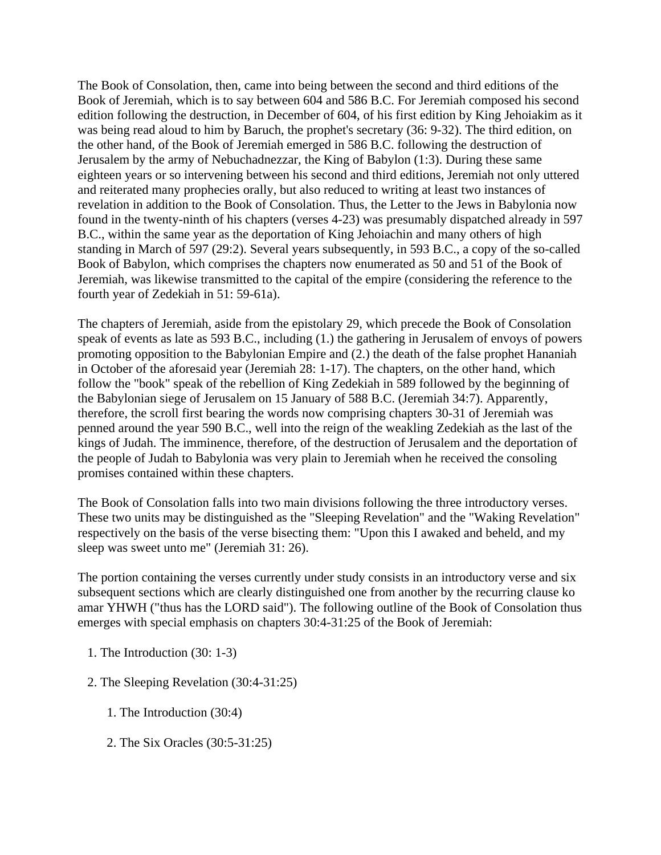The Book of Consolation, then, came into being between the second and third editions of the Book of Jeremiah, which is to say between 604 and 586 B.C. For Jeremiah composed his second edition following the destruction, in December of 604, of his first edition by King Jehoiakim as it was being read aloud to him by Baruch, the prophet's secretary (36: 9-32). The third edition, on the other hand, of the Book of Jeremiah emerged in 586 B.C. following the destruction of Jerusalem by the army of Nebuchadnezzar, the King of Babylon (1:3). During these same eighteen years or so intervening between his second and third editions, Jeremiah not only uttered and reiterated many prophecies orally, but also reduced to writing at least two instances of revelation in addition to the Book of Consolation. Thus, the Letter to the Jews in Babylonia now found in the twenty-ninth of his chapters (verses 4-23) was presumably dispatched already in 597 B.C., within the same year as the deportation of King Jehoiachin and many others of high standing in March of 597 (29:2). Several years subsequently, in 593 B.C., a copy of the so-called Book of Babylon, which comprises the chapters now enumerated as 50 and 51 of the Book of Jeremiah, was likewise transmitted to the capital of the empire (considering the reference to the fourth year of Zedekiah in 51: 59-61a).

The chapters of Jeremiah, aside from the epistolary 29, which precede the Book of Consolation speak of events as late as 593 B.C., including (1.) the gathering in Jerusalem of envoys of powers promoting opposition to the Babylonian Empire and (2.) the death of the false prophet Hananiah in October of the aforesaid year (Jeremiah 28: 1-17). The chapters, on the other hand, which follow the "book" speak of the rebellion of King Zedekiah in 589 followed by the beginning of the Babylonian siege of Jerusalem on 15 January of 588 B.C. (Jeremiah 34:7). Apparently, therefore, the scroll first bearing the words now comprising chapters 30-31 of Jeremiah was penned around the year 590 B.C., well into the reign of the weakling Zedekiah as the last of the kings of Judah. The imminence, therefore, of the destruction of Jerusalem and the deportation of the people of Judah to Babylonia was very plain to Jeremiah when he received the consoling promises contained within these chapters.

The Book of Consolation falls into two main divisions following the three introductory verses. These two units may be distinguished as the "Sleeping Revelation" and the "Waking Revelation" respectively on the basis of the verse bisecting them: "Upon this I awaked and beheld, and my sleep was sweet unto me" (Jeremiah 31: 26).

The portion containing the verses currently under study consists in an introductory verse and six subsequent sections which are clearly distinguished one from another by the recurring clause ko amar YHWH ("thus has the LORD said"). The following outline of the Book of Consolation thus emerges with special emphasis on chapters 30:4-31:25 of the Book of Jeremiah:

- 1. The Introduction (30: 1-3)
- 2. The Sleeping Revelation (30:4-31:25)
	- 1. The Introduction (30:4)
	- 2. The Six Oracles (30:5-31:25)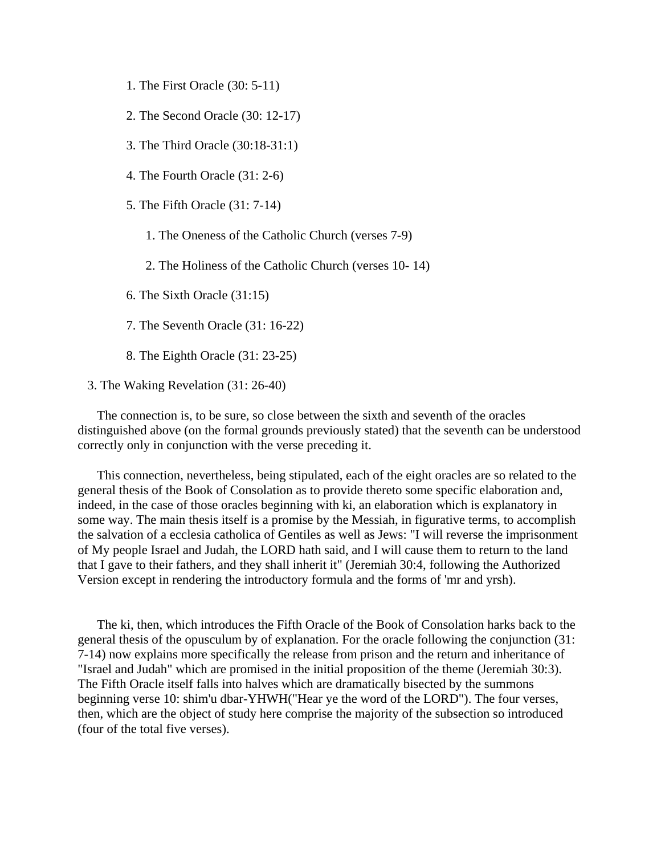- 1. The First Oracle (30: 5-11)
- 2. The Second Oracle (30: 12-17)
- 3. The Third Oracle (30:18-31:1)
- 4. The Fourth Oracle (31: 2-6)
- 5. The Fifth Oracle (31: 7-14)
	- 1. The Oneness of the Catholic Church (verses 7-9)
	- 2. The Holiness of the Catholic Church (verses 10- 14)
- 6. The Sixth Oracle (31:15)
- 7. The Seventh Oracle (31: 16-22)
- 8. The Eighth Oracle (31: 23-25)
- 3. The Waking Revelation (31: 26-40)

 The connection is, to be sure, so close between the sixth and seventh of the oracles distinguished above (on the formal grounds previously stated) that the seventh can be understood correctly only in conjunction with the verse preceding it.

 This connection, nevertheless, being stipulated, each of the eight oracles are so related to the general thesis of the Book of Consolation as to provide thereto some specific elaboration and, indeed, in the case of those oracles beginning with ki, an elaboration which is explanatory in some way. The main thesis itself is a promise by the Messiah, in figurative terms, to accomplish the salvation of a ecclesia catholica of Gentiles as well as Jews: "I will reverse the imprisonment of My people Israel and Judah, the LORD hath said, and I will cause them to return to the land that I gave to their fathers, and they shall inherit it" (Jeremiah 30:4, following the Authorized Version except in rendering the introductory formula and the forms of 'mr and yrsh).

 The ki, then, which introduces the Fifth Oracle of the Book of Consolation harks back to the general thesis of the opusculum by of explanation. For the oracle following the conjunction (31: 7-14) now explains more specifically the release from prison and the return and inheritance of "Israel and Judah" which are promised in the initial proposition of the theme (Jeremiah 30:3). The Fifth Oracle itself falls into halves which are dramatically bisected by the summons beginning verse 10: shim'u dbar-YHWH("Hear ye the word of the LORD"). The four verses, then, which are the object of study here comprise the majority of the subsection so introduced (four of the total five verses).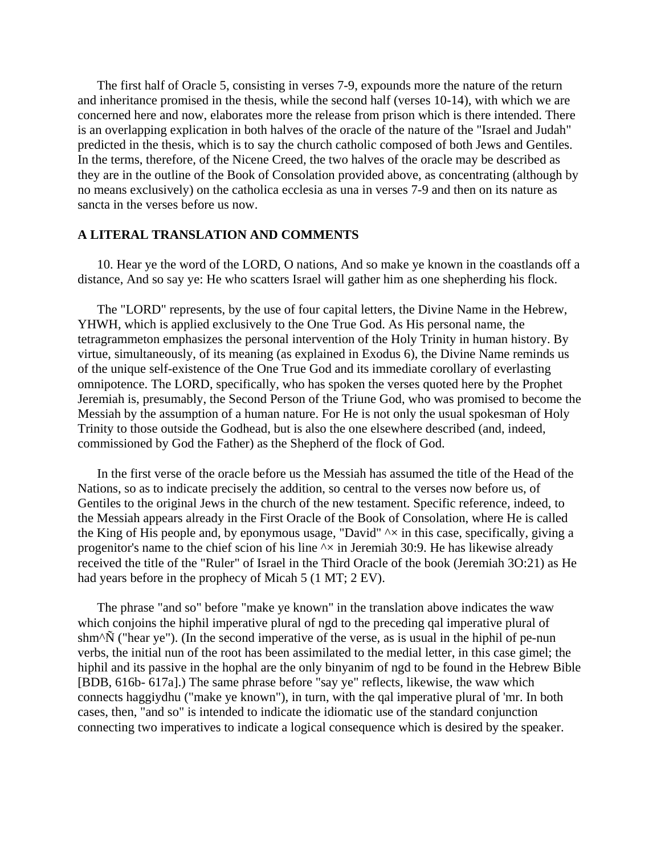The first half of Oracle 5, consisting in verses 7-9, expounds more the nature of the return and inheritance promised in the thesis, while the second half (verses 10-14), with which we are concerned here and now, elaborates more the release from prison which is there intended. There is an overlapping explication in both halves of the oracle of the nature of the "Israel and Judah" predicted in the thesis, which is to say the church catholic composed of both Jews and Gentiles. In the terms, therefore, of the Nicene Creed, the two halves of the oracle may be described as they are in the outline of the Book of Consolation provided above, as concentrating (although by no means exclusively) on the catholica ecclesia as una in verses 7-9 and then on its nature as sancta in the verses before us now.

## **A LITERAL TRANSLATION AND COMMENTS**

 10. Hear ye the word of the LORD, O nations, And so make ye known in the coastlands off a distance, And so say ye: He who scatters Israel will gather him as one shepherding his flock.

 The "LORD" represents, by the use of four capital letters, the Divine Name in the Hebrew, YHWH, which is applied exclusively to the One True God. As His personal name, the tetragrammeton emphasizes the personal intervention of the Holy Trinity in human history. By virtue, simultaneously, of its meaning (as explained in Exodus 6), the Divine Name reminds us of the unique self-existence of the One True God and its immediate corollary of everlasting omnipotence. The LORD, specifically, who has spoken the verses quoted here by the Prophet Jeremiah is, presumably, the Second Person of the Triune God, who was promised to become the Messiah by the assumption of a human nature. For He is not only the usual spokesman of Holy Trinity to those outside the Godhead, but is also the one elsewhere described (and, indeed, commissioned by God the Father) as the Shepherd of the flock of God.

 In the first verse of the oracle before us the Messiah has assumed the title of the Head of the Nations, so as to indicate precisely the addition, so central to the verses now before us, of Gentiles to the original Jews in the church of the new testament. Specific reference, indeed, to the Messiah appears already in the First Oracle of the Book of Consolation, where He is called the King of His people and, by eponymous usage, "David"  $\sim \infty$  in this case, specifically, giving a progenitor's name to the chief scion of his line  $\sim \times$  in Jeremiah 30:9. He has likewise already received the title of the "Ruler" of Israel in the Third Oracle of the book (Jeremiah 3O:21) as He had years before in the prophecy of Micah 5 (1 MT; 2 EV).

 The phrase "and so" before "make ye known" in the translation above indicates the waw which conjoins the hiphil imperative plural of ngd to the preceding qal imperative plural of shm<sup> $\Delta$ </sup> ("hear ye"). (In the second imperative of the verse, as is usual in the hiphil of pe-nun verbs, the initial nun of the root has been assimilated to the medial letter, in this case gimel; the hiphil and its passive in the hophal are the only binyanim of ngd to be found in the Hebrew Bible [BDB, 616b- 617a].) The same phrase before "say ye" reflects, likewise, the waw which connects haggiydhu ("make ye known"), in turn, with the qal imperative plural of 'mr. In both cases, then, "and so" is intended to indicate the idiomatic use of the standard conjunction connecting two imperatives to indicate a logical consequence which is desired by the speaker.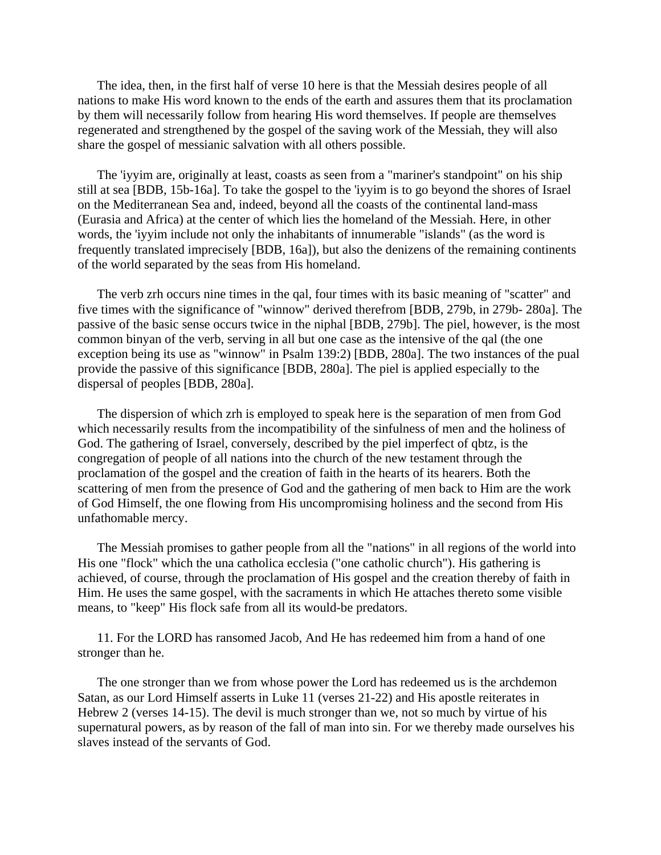The idea, then, in the first half of verse 10 here is that the Messiah desires people of all nations to make His word known to the ends of the earth and assures them that its proclamation by them will necessarily follow from hearing His word themselves. If people are themselves regenerated and strengthened by the gospel of the saving work of the Messiah, they will also share the gospel of messianic salvation with all others possible.

 The 'iyyim are, originally at least, coasts as seen from a "mariner's standpoint" on his ship still at sea [BDB, 15b-16a]. To take the gospel to the 'iyyim is to go beyond the shores of Israel on the Mediterranean Sea and, indeed, beyond all the coasts of the continental land-mass (Eurasia and Africa) at the center of which lies the homeland of the Messiah. Here, in other words, the 'iyyim include not only the inhabitants of innumerable "islands" (as the word is frequently translated imprecisely [BDB, 16a]), but also the denizens of the remaining continents of the world separated by the seas from His homeland.

 The verb zrh occurs nine times in the qal, four times with its basic meaning of "scatter" and five times with the significance of "winnow" derived therefrom [BDB, 279b, in 279b- 280a]. The passive of the basic sense occurs twice in the niphal [BDB, 279b]. The piel, however, is the most common binyan of the verb, serving in all but one case as the intensive of the qal (the one exception being its use as "winnow" in Psalm 139:2) [BDB, 280a]. The two instances of the pual provide the passive of this significance [BDB, 280a]. The piel is applied especially to the dispersal of peoples [BDB, 280a].

 The dispersion of which zrh is employed to speak here is the separation of men from God which necessarily results from the incompatibility of the sinfulness of men and the holiness of God. The gathering of Israel, conversely, described by the piel imperfect of qbtz, is the congregation of people of all nations into the church of the new testament through the proclamation of the gospel and the creation of faith in the hearts of its hearers. Both the scattering of men from the presence of God and the gathering of men back to Him are the work of God Himself, the one flowing from His uncompromising holiness and the second from His unfathomable mercy.

 The Messiah promises to gather people from all the "nations" in all regions of the world into His one "flock" which the una catholica ecclesia ("one catholic church"). His gathering is achieved, of course, through the proclamation of His gospel and the creation thereby of faith in Him. He uses the same gospel, with the sacraments in which He attaches thereto some visible means, to "keep" His flock safe from all its would-be predators.

 11. For the LORD has ransomed Jacob, And He has redeemed him from a hand of one stronger than he.

 The one stronger than we from whose power the Lord has redeemed us is the archdemon Satan, as our Lord Himself asserts in Luke 11 (verses 21-22) and His apostle reiterates in Hebrew 2 (verses 14-15). The devil is much stronger than we, not so much by virtue of his supernatural powers, as by reason of the fall of man into sin. For we thereby made ourselves his slaves instead of the servants of God.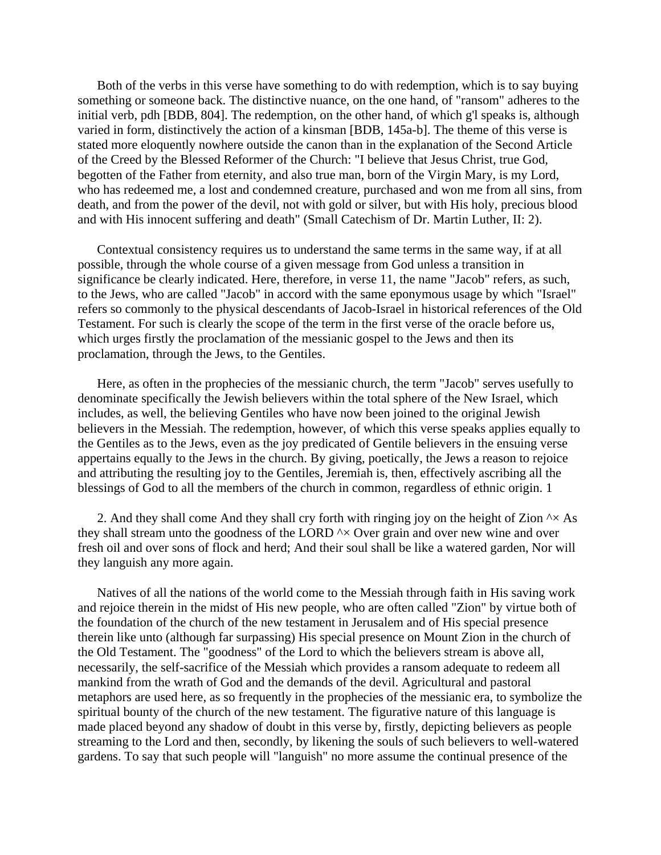Both of the verbs in this verse have something to do with redemption, which is to say buying something or someone back. The distinctive nuance, on the one hand, of "ransom" adheres to the initial verb, pdh [BDB, 804]. The redemption, on the other hand, of which g'l speaks is, although varied in form, distinctively the action of a kinsman [BDB, 145a-b]. The theme of this verse is stated more eloquently nowhere outside the canon than in the explanation of the Second Article of the Creed by the Blessed Reformer of the Church: "I believe that Jesus Christ, true God, begotten of the Father from eternity, and also true man, born of the Virgin Mary, is my Lord, who has redeemed me, a lost and condemned creature, purchased and won me from all sins, from death, and from the power of the devil, not with gold or silver, but with His holy, precious blood and with His innocent suffering and death" (Small Catechism of Dr. Martin Luther, II: 2).

 Contextual consistency requires us to understand the same terms in the same way, if at all possible, through the whole course of a given message from God unless a transition in significance be clearly indicated. Here, therefore, in verse 11, the name "Jacob" refers, as such, to the Jews, who are called "Jacob" in accord with the same eponymous usage by which "Israel" refers so commonly to the physical descendants of Jacob-Israel in historical references of the Old Testament. For such is clearly the scope of the term in the first verse of the oracle before us, which urges firstly the proclamation of the messianic gospel to the Jews and then its proclamation, through the Jews, to the Gentiles.

 Here, as often in the prophecies of the messianic church, the term "Jacob" serves usefully to denominate specifically the Jewish believers within the total sphere of the New Israel, which includes, as well, the believing Gentiles who have now been joined to the original Jewish believers in the Messiah. The redemption, however, of which this verse speaks applies equally to the Gentiles as to the Jews, even as the joy predicated of Gentile believers in the ensuing verse appertains equally to the Jews in the church. By giving, poetically, the Jews a reason to rejoice and attributing the resulting joy to the Gentiles, Jeremiah is, then, effectively ascribing all the blessings of God to all the members of the church in common, regardless of ethnic origin. 1

2. And they shall come And they shall cry forth with ringing joy on the height of Zion  $\sim \times$  As they shall stream unto the goodness of the LORD  $\wedge \times$  Over grain and over new wine and over fresh oil and over sons of flock and herd; And their soul shall be like a watered garden, Nor will they languish any more again.

 Natives of all the nations of the world come to the Messiah through faith in His saving work and rejoice therein in the midst of His new people, who are often called "Zion" by virtue both of the foundation of the church of the new testament in Jerusalem and of His special presence therein like unto (although far surpassing) His special presence on Mount Zion in the church of the Old Testament. The "goodness" of the Lord to which the believers stream is above all, necessarily, the self-sacrifice of the Messiah which provides a ransom adequate to redeem all mankind from the wrath of God and the demands of the devil. Agricultural and pastoral metaphors are used here, as so frequently in the prophecies of the messianic era, to symbolize the spiritual bounty of the church of the new testament. The figurative nature of this language is made placed beyond any shadow of doubt in this verse by, firstly, depicting believers as people streaming to the Lord and then, secondly, by likening the souls of such believers to well-watered gardens. To say that such people will "languish" no more assume the continual presence of the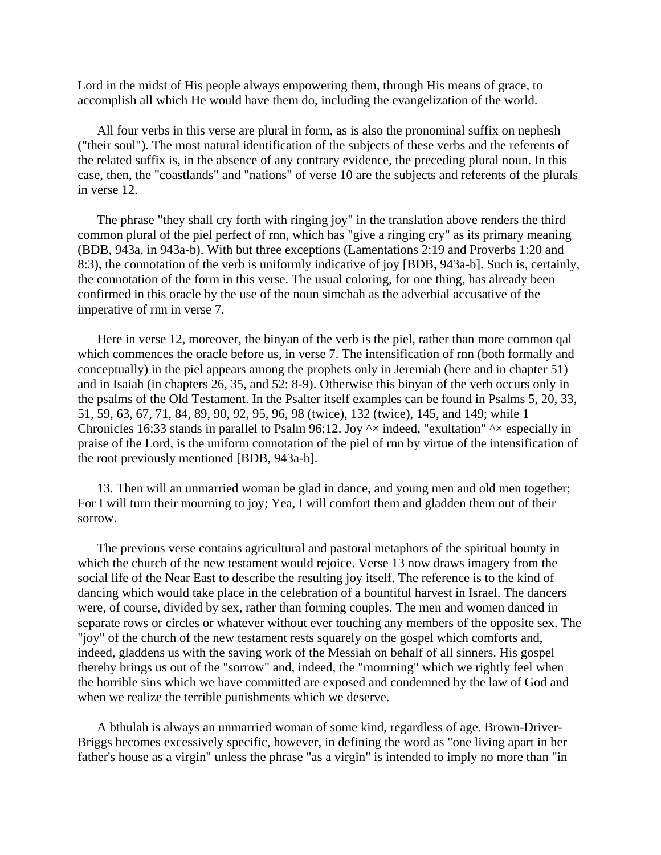Lord in the midst of His people always empowering them, through His means of grace, to accomplish all which He would have them do, including the evangelization of the world.

 All four verbs in this verse are plural in form, as is also the pronominal suffix on nephesh ("their soul"). The most natural identification of the subjects of these verbs and the referents of the related suffix is, in the absence of any contrary evidence, the preceding plural noun. In this case, then, the "coastlands" and "nations" of verse 10 are the subjects and referents of the plurals in verse 12.

 The phrase "they shall cry forth with ringing joy" in the translation above renders the third common plural of the piel perfect of rnn, which has "give a ringing cry" as its primary meaning (BDB, 943a, in 943a-b). With but three exceptions (Lamentations 2:19 and Proverbs 1:20 and 8:3), the connotation of the verb is uniformly indicative of joy [BDB, 943a-b]. Such is, certainly, the connotation of the form in this verse. The usual coloring, for one thing, has already been confirmed in this oracle by the use of the noun simchah as the adverbial accusative of the imperative of rnn in verse 7.

 Here in verse 12, moreover, the binyan of the verb is the piel, rather than more common qal which commences the oracle before us, in verse 7. The intensification of rnn (both formally and conceptually) in the piel appears among the prophets only in Jeremiah (here and in chapter 51) and in Isaiah (in chapters 26, 35, and 52: 8-9). Otherwise this binyan of the verb occurs only in the psalms of the Old Testament. In the Psalter itself examples can be found in Psalms 5, 20, 33, 51, 59, 63, 67, 71, 84, 89, 90, 92, 95, 96, 98 (twice), 132 (twice), 145, and 149; while 1 Chronicles 16:33 stands in parallel to Psalm 96;12. Joy  $\sim \times$  indeed, "exultation"  $\sim \times$  especially in praise of the Lord, is the uniform connotation of the piel of rnn by virtue of the intensification of the root previously mentioned [BDB, 943a-b].

 13. Then will an unmarried woman be glad in dance, and young men and old men together; For I will turn their mourning to joy; Yea, I will comfort them and gladden them out of their sorrow.

 The previous verse contains agricultural and pastoral metaphors of the spiritual bounty in which the church of the new testament would rejoice. Verse 13 now draws imagery from the social life of the Near East to describe the resulting joy itself. The reference is to the kind of dancing which would take place in the celebration of a bountiful harvest in Israel. The dancers were, of course, divided by sex, rather than forming couples. The men and women danced in separate rows or circles or whatever without ever touching any members of the opposite sex. The "joy" of the church of the new testament rests squarely on the gospel which comforts and, indeed, gladdens us with the saving work of the Messiah on behalf of all sinners. His gospel thereby brings us out of the "sorrow" and, indeed, the "mourning" which we rightly feel when the horrible sins which we have committed are exposed and condemned by the law of God and when we realize the terrible punishments which we deserve.

 A bthulah is always an unmarried woman of some kind, regardless of age. Brown-Driver-Briggs becomes excessively specific, however, in defining the word as "one living apart in her father's house as a virgin" unless the phrase "as a virgin" is intended to imply no more than "in